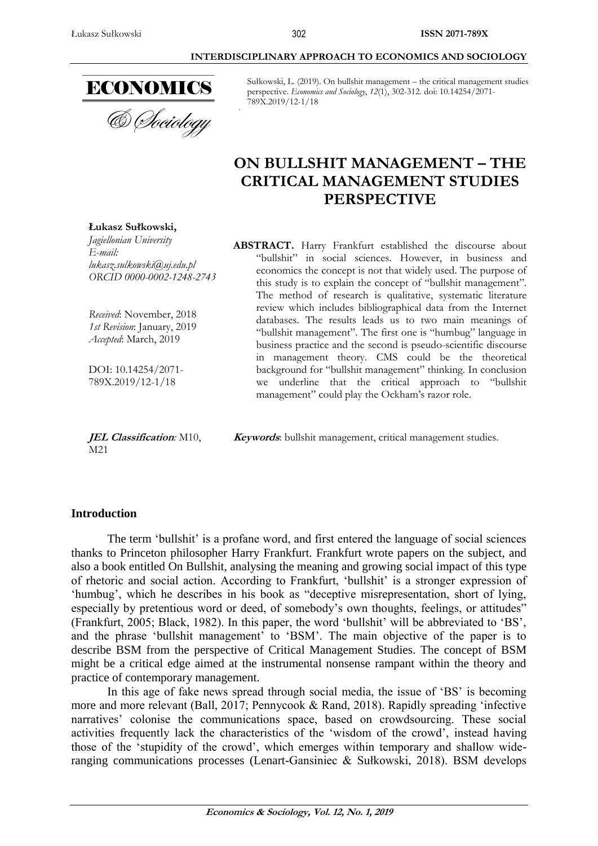

**Łukasz Sułkowski,** *Jagiellonian University*

*lukasz.sulkowski@uj.edu.pl ORCID 0000-0002-1248-2743*

*Received*: November, 2018 *1st Revision*: January, 2019 *Accepted*: March, 2019

DOI: 10.14254/2071- 789X.2019/12-1/18

*E-mail:*

Sułkowski, L. (2019). On bullshit management – the critical management studies perspective. *Economics and Sociology*, *12*(1), 302-312. doi: 10.14254/2071- 789X.2019/12-1/18

# **ON BULLSHIT MANAGEMENT – THE CRITICAL MANAGEMENT STUDIES PERSPECTIVE**

**ABSTRACT.** Harry Frankfurt established the discourse about "bullshit" in social sciences. However, in business and economics the concept is not that widely used. The purpose of this study is to explain the concept of "bullshit management". The method of research is qualitative, systematic literature review which includes bibliographical data from the Internet databases. The results leads us to two main meanings of "bullshit management". The first one is "humbug" language in business practice and the second is pseudo-scientific discourse in management theory. CMS could be the theoretical background for "bullshit management" thinking. In conclusion we underline that the critical approach to "bullshit management" could play the Ockham's razor role.

**JEL Classification***:* M10, M21

**Keywords**: bullshit management, critical management studies.

### **Introduction**

The term 'bullshit' is a profane word, and first entered the language of social sciences thanks to Princeton philosopher Harry Frankfurt. Frankfurt wrote papers on the subject, and also a book entitled On Bullshit, analysing the meaning and growing social impact of this type of rhetoric and social action. According to Frankfurt, 'bullshit' is a stronger expression of 'humbug', which he describes in his book as "deceptive misrepresentation, short of lying, especially by pretentious word or deed, of somebody's own thoughts, feelings, or attitudes" (Frankfurt, 2005; Black, 1982). In this paper, the word 'bullshit' will be abbreviated to 'BS', and the phrase 'bullshit management' to 'BSM'. The main objective of the paper is to describe BSM from the perspective of Critical Management Studies. The concept of BSM might be a critical edge aimed at the instrumental nonsense rampant within the theory and practice of contemporary management.

In this age of fake news spread through social media, the issue of 'BS' is becoming more and more relevant (Ball, 2017; Pennycook & Rand, 2018). Rapidly spreading 'infective narratives' colonise the communications space, based on crowdsourcing. These social activities frequently lack the characteristics of the 'wisdom of the crowd', instead having those of the 'stupidity of the crowd', which emerges within temporary and shallow wideranging communications processes (Lenart-Gansiniec & Sułkowski, 2018). BSM develops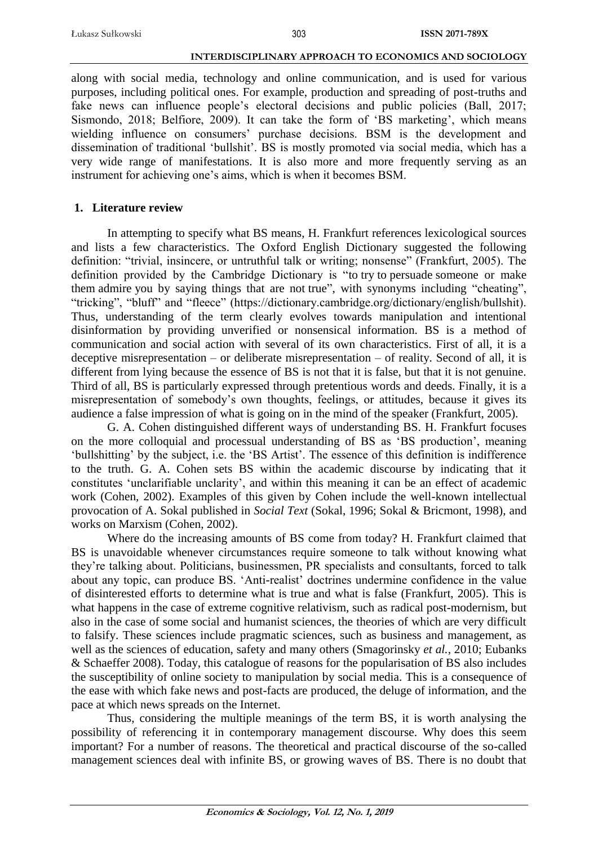along with social media, technology and online communication, and is used for various purposes, including political ones. For example, production and spreading of post-truths and fake news can influence people's electoral decisions and public policies (Ball, 2017; Sismondo, 2018; Belfiore, 2009). It can take the form of 'BS marketing', which means wielding influence on consumers' purchase decisions. BSM is the development and dissemination of traditional 'bullshit'. BS is mostly promoted via social media, which has a very wide range of manifestations. It is also more and more frequently serving as an instrument for achieving one's aims, which is when it becomes BSM.

### **1. Literature review**

In attempting to specify what BS means, H. Frankfurt references lexicological sources and lists a few characteristics. The Oxford English Dictionary suggested the following definition: "trivial, insincere, or untruthful talk or writing; nonsense" (Frankfurt, 2005). The definition provided by the Cambridge Dictionary is "to try to persuade someone or make them admire you by saying things that are not true", with synonyms including "cheating", "tricking", "bluff" and "fleece" (https://dictionary.cambridge.org/dictionary/english/bullshit). Thus, understanding of the term clearly evolves towards manipulation and intentional disinformation by providing unverified or nonsensical information. BS is a method of communication and social action with several of its own characteristics. First of all, it is a deceptive misrepresentation – or deliberate misrepresentation – of reality. Second of all, it is different from lying because the essence of BS is not that it is false, but that it is not genuine. Third of all, BS is particularly expressed through pretentious words and deeds. Finally, it is a misrepresentation of somebody's own thoughts, feelings, or attitudes, because it gives its audience a false impression of what is going on in the mind of the speaker (Frankfurt, 2005).

G. A. Cohen distinguished different ways of understanding BS. H. Frankfurt focuses on the more colloquial and processual understanding of BS as 'BS production', meaning 'bullshitting' by the subject, i.e. the 'BS Artist'. The essence of this definition is indifference to the truth. G. A. Cohen sets BS within the academic discourse by indicating that it constitutes 'unclarifiable unclarity', and within this meaning it can be an effect of academic work (Cohen, 2002). Examples of this given by Cohen include the well-known intellectual provocation of A. Sokal published in *Social Text* (Sokal, 1996; Sokal & Bricmont, 1998), and works on Marxism (Cohen, 2002).

Where do the increasing amounts of BS come from today? H. Frankfurt claimed that BS is unavoidable whenever circumstances require someone to talk without knowing what they're talking about. Politicians, businessmen, PR specialists and consultants, forced to talk about any topic, can produce BS. 'Anti-realist' doctrines undermine confidence in the value of disinterested efforts to determine what is true and what is false (Frankfurt, 2005). This is what happens in the case of extreme cognitive relativism, such as radical post-modernism, but also in the case of some social and humanist sciences, the theories of which are very difficult to falsify. These sciences include pragmatic sciences, such as business and management, as well as the sciences of education, safety and many others (Smagorinsky *et al.*, 2010; Eubanks & Schaeffer 2008). Today, this catalogue of reasons for the popularisation of BS also includes the susceptibility of online society to manipulation by social media. This is a consequence of the ease with which fake news and post-facts are produced, the deluge of information, and the pace at which news spreads on the Internet.

Thus, considering the multiple meanings of the term BS, it is worth analysing the possibility of referencing it in contemporary management discourse. Why does this seem important? For a number of reasons. The theoretical and practical discourse of the so-called management sciences deal with infinite BS, or growing waves of BS. There is no doubt that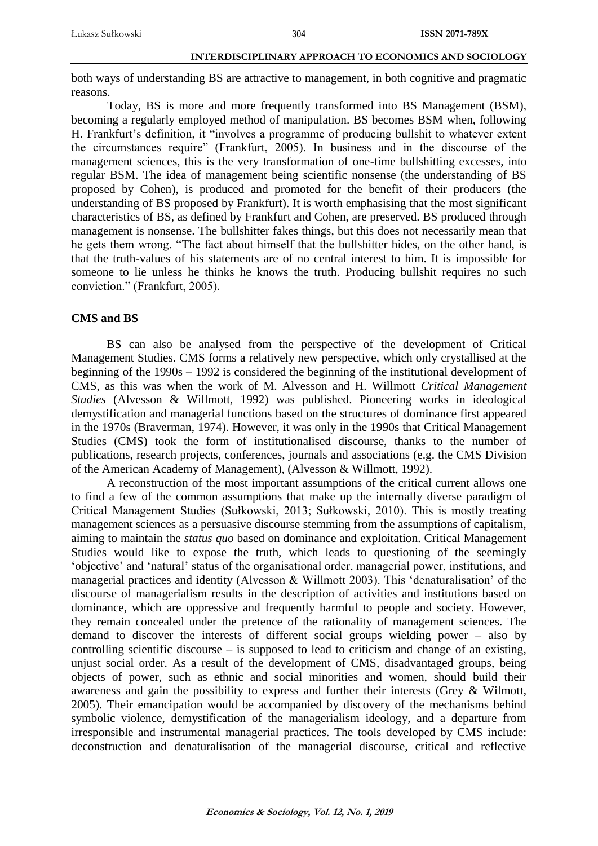both ways of understanding BS are attractive to management, in both cognitive and pragmatic reasons.

Today, BS is more and more frequently transformed into BS Management (BSM), becoming a regularly employed method of manipulation. BS becomes BSM when, following H. Frankfurt's definition, it "involves a programme of producing bullshit to whatever extent the circumstances require" (Frankfurt, 2005). In business and in the discourse of the management sciences, this is the very transformation of one-time bullshitting excesses, into regular BSM. The idea of management being scientific nonsense (the understanding of BS proposed by Cohen), is produced and promoted for the benefit of their producers (the understanding of BS proposed by Frankfurt). It is worth emphasising that the most significant characteristics of BS, as defined by Frankfurt and Cohen, are preserved. BS produced through management is nonsense. The bullshitter fakes things, but this does not necessarily mean that he gets them wrong. "The fact about himself that the bullshitter hides, on the other hand, is that the truth-values of his statements are of no central interest to him. It is impossible for someone to lie unless he thinks he knows the truth. Producing bullshit requires no such conviction." (Frankfurt, 2005).

### **CMS and BS**

BS can also be analysed from the perspective of the development of Critical Management Studies. CMS forms a relatively new perspective, which only crystallised at the beginning of the 1990s – 1992 is considered the beginning of the institutional development of CMS, as this was when the work of M. Alvesson and H. Willmott *Critical Management Studies* (Alvesson & Willmott, 1992) was published. Pioneering works in ideological demystification and managerial functions based on the structures of dominance first appeared in the 1970s (Braverman, 1974). However, it was only in the 1990s that Critical Management Studies (CMS) took the form of institutionalised discourse, thanks to the number of publications, research projects, conferences, journals and associations (e.g. the CMS Division of the American Academy of Management), (Alvesson & Willmott, 1992).

A reconstruction of the most important assumptions of the critical current allows one to find a few of the common assumptions that make up the internally diverse paradigm of Critical Management Studies (Sułkowski, 2013; Sułkowski, 2010). This is mostly treating management sciences as a persuasive discourse stemming from the assumptions of capitalism, aiming to maintain the *status quo* based on dominance and exploitation. Critical Management Studies would like to expose the truth, which leads to questioning of the seemingly 'objective' and 'natural' status of the organisational order, managerial power, institutions, and managerial practices and identity (Alvesson & Willmott 2003). This 'denaturalisation' of the discourse of managerialism results in the description of activities and institutions based on dominance, which are oppressive and frequently harmful to people and society. However, they remain concealed under the pretence of the rationality of management sciences. The demand to discover the interests of different social groups wielding power – also by controlling scientific discourse – is supposed to lead to criticism and change of an existing, unjust social order. As a result of the development of CMS, disadvantaged groups, being objects of power, such as ethnic and social minorities and women, should build their awareness and gain the possibility to express and further their interests (Grey & Wilmott, 2005). Their emancipation would be accompanied by discovery of the mechanisms behind symbolic violence, demystification of the managerialism ideology, and a departure from irresponsible and instrumental managerial practices. The tools developed by CMS include: deconstruction and denaturalisation of the managerial discourse, critical and reflective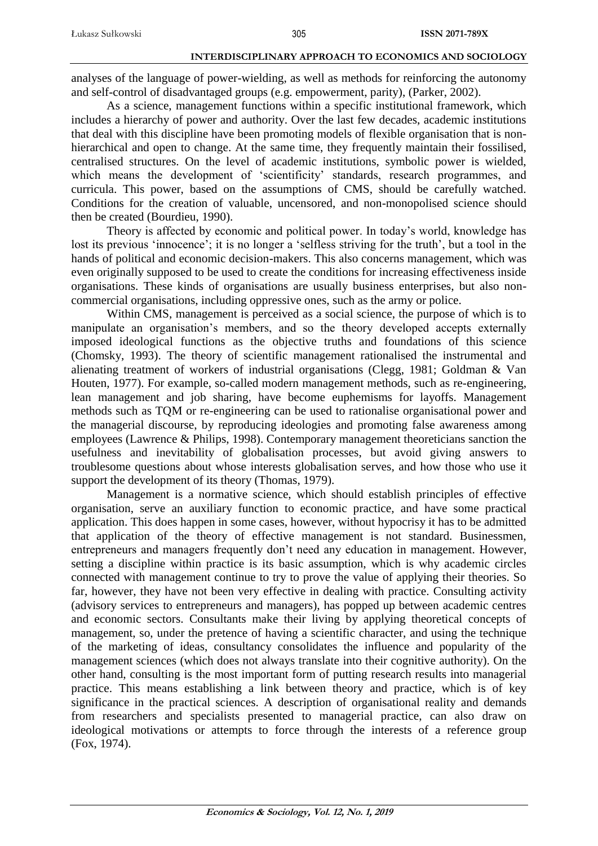analyses of the language of power-wielding, as well as methods for reinforcing the autonomy and self-control of disadvantaged groups (e.g. empowerment, parity), (Parker, 2002).

As a science, management functions within a specific institutional framework, which includes a hierarchy of power and authority. Over the last few decades, academic institutions that deal with this discipline have been promoting models of flexible organisation that is nonhierarchical and open to change. At the same time, they frequently maintain their fossilised, centralised structures. On the level of academic institutions, symbolic power is wielded, which means the development of 'scientificity' standards, research programmes, and curricula. This power, based on the assumptions of CMS, should be carefully watched. Conditions for the creation of valuable, uncensored, and non-monopolised science should then be created (Bourdieu, 1990).

Theory is affected by economic and political power. In today's world, knowledge has lost its previous 'innocence'; it is no longer a 'selfless striving for the truth', but a tool in the hands of political and economic decision-makers. This also concerns management, which was even originally supposed to be used to create the conditions for increasing effectiveness inside organisations. These kinds of organisations are usually business enterprises, but also noncommercial organisations, including oppressive ones, such as the army or police.

Within CMS, management is perceived as a social science, the purpose of which is to manipulate an organisation's members, and so the theory developed accepts externally imposed ideological functions as the objective truths and foundations of this science (Chomsky, 1993). The theory of scientific management rationalised the instrumental and alienating treatment of workers of industrial organisations (Clegg, 1981; Goldman & Van Houten, 1977). For example, so-called modern management methods, such as re-engineering, lean management and job sharing, have become euphemisms for layoffs. Management methods such as TQM or re-engineering can be used to rationalise organisational power and the managerial discourse, by reproducing ideologies and promoting false awareness among employees (Lawrence & Philips, 1998). Contemporary management theoreticians sanction the usefulness and inevitability of globalisation processes, but avoid giving answers to troublesome questions about whose interests globalisation serves, and how those who use it support the development of its theory (Thomas, 1979).

Management is a normative science, which should establish principles of effective organisation, serve an auxiliary function to economic practice, and have some practical application. This does happen in some cases, however, without hypocrisy it has to be admitted that application of the theory of effective management is not standard. Businessmen, entrepreneurs and managers frequently don't need any education in management. However, setting a discipline within practice is its basic assumption, which is why academic circles connected with management continue to try to prove the value of applying their theories. So far, however, they have not been very effective in dealing with practice. Consulting activity (advisory services to entrepreneurs and managers), has popped up between academic centres and economic sectors. Consultants make their living by applying theoretical concepts of management, so, under the pretence of having a scientific character, and using the technique of the marketing of ideas, consultancy consolidates the influence and popularity of the management sciences (which does not always translate into their cognitive authority). On the other hand, consulting is the most important form of putting research results into managerial practice. This means establishing a link between theory and practice, which is of key significance in the practical sciences. A description of organisational reality and demands from researchers and specialists presented to managerial practice, can also draw on ideological motivations or attempts to force through the interests of a reference group (Fox, 1974).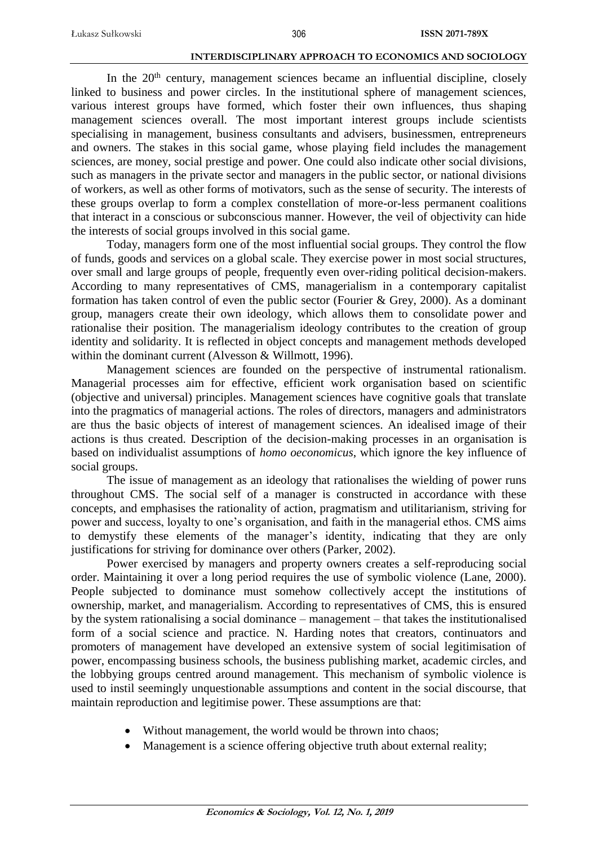In the  $20<sup>th</sup>$  century, management sciences became an influential discipline, closely linked to business and power circles. In the institutional sphere of management sciences, various interest groups have formed, which foster their own influences, thus shaping management sciences overall. The most important interest groups include scientists specialising in management, business consultants and advisers, businessmen, entrepreneurs and owners. The stakes in this social game, whose playing field includes the management sciences, are money, social prestige and power. One could also indicate other social divisions, such as managers in the private sector and managers in the public sector, or national divisions of workers, as well as other forms of motivators, such as the sense of security. The interests of these groups overlap to form a complex constellation of more-or-less permanent coalitions that interact in a conscious or subconscious manner. However, the veil of objectivity can hide the interests of social groups involved in this social game.

Today, managers form one of the most influential social groups. They control the flow of funds, goods and services on a global scale. They exercise power in most social structures, over small and large groups of people, frequently even over-riding political decision-makers. According to many representatives of CMS, managerialism in a contemporary capitalist formation has taken control of even the public sector (Fourier  $\&$  Grey, 2000). As a dominant group, managers create their own ideology, which allows them to consolidate power and rationalise their position. The managerialism ideology contributes to the creation of group identity and solidarity. It is reflected in object concepts and management methods developed within the dominant current (Alvesson & Willmott, 1996).

Management sciences are founded on the perspective of instrumental rationalism. Managerial processes aim for effective, efficient work organisation based on scientific (objective and universal) principles. Management sciences have cognitive goals that translate into the pragmatics of managerial actions. The roles of directors, managers and administrators are thus the basic objects of interest of management sciences. An idealised image of their actions is thus created. Description of the decision-making processes in an organisation is based on individualist assumptions of *homo oeconomicus*, which ignore the key influence of social groups.

The issue of management as an ideology that rationalises the wielding of power runs throughout CMS. The social self of a manager is constructed in accordance with these concepts, and emphasises the rationality of action, pragmatism and utilitarianism, striving for power and success, loyalty to one's organisation, and faith in the managerial ethos. CMS aims to demystify these elements of the manager's identity, indicating that they are only justifications for striving for dominance over others (Parker, 2002).

Power exercised by managers and property owners creates a self-reproducing social order. Maintaining it over a long period requires the use of symbolic violence (Lane, 2000). People subjected to dominance must somehow collectively accept the institutions of ownership, market, and managerialism. According to representatives of CMS, this is ensured by the system rationalising a social dominance – management – that takes the institutionalised form of a social science and practice. N. Harding notes that creators, continuators and promoters of management have developed an extensive system of social legitimisation of power, encompassing business schools, the business publishing market, academic circles, and the lobbying groups centred around management. This mechanism of symbolic violence is used to instil seemingly unquestionable assumptions and content in the social discourse, that maintain reproduction and legitimise power. These assumptions are that:

- Without management, the world would be thrown into chaos;
- Management is a science offering objective truth about external reality;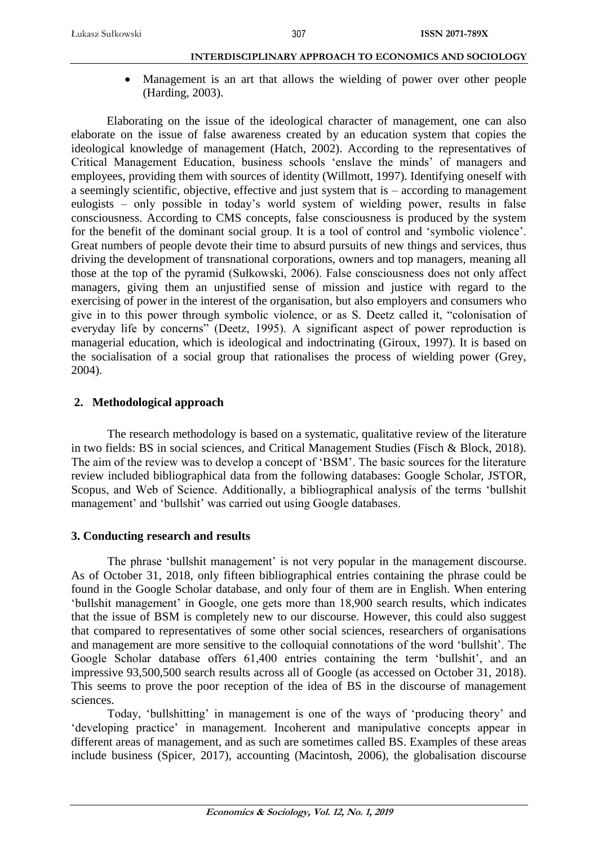Management is an art that allows the wielding of power over other people (Harding, 2003).

Elaborating on the issue of the ideological character of management, one can also elaborate on the issue of false awareness created by an education system that copies the ideological knowledge of management (Hatch, 2002). According to the representatives of Critical Management Education, business schools 'enslave the minds' of managers and employees, providing them with sources of identity (Willmott, 1997). Identifying oneself with a seemingly scientific, objective, effective and just system that is – according to management eulogists – only possible in today's world system of wielding power, results in false consciousness. According to CMS concepts, false consciousness is produced by the system for the benefit of the dominant social group. It is a tool of control and 'symbolic violence'. Great numbers of people devote their time to absurd pursuits of new things and services, thus driving the development of transnational corporations, owners and top managers, meaning all those at the top of the pyramid (Sułkowski, 2006). False consciousness does not only affect managers, giving them an unjustified sense of mission and justice with regard to the exercising of power in the interest of the organisation, but also employers and consumers who give in to this power through symbolic violence, or as S. Deetz called it, "colonisation of everyday life by concerns" (Deetz, 1995). A significant aspect of power reproduction is managerial education, which is ideological and indoctrinating (Giroux, 1997). It is based on the socialisation of a social group that rationalises the process of wielding power (Grey, 2004).

## **2. Methodological approach**

The research methodology is based on a systematic, qualitative review of the literature in two fields: BS in social sciences, and Critical Management Studies (Fisch & Block, 2018). The aim of the review was to develop a concept of 'BSM'. The basic sources for the literature review included bibliographical data from the following databases: Google Scholar, JSTOR, Scopus, and Web of Science. Additionally, a bibliographical analysis of the terms 'bullshit management' and 'bullshit' was carried out using Google databases.

## **3. Conducting research and results**

The phrase 'bullshit management' is not very popular in the management discourse. As of October 31, 2018, only fifteen bibliographical entries containing the phrase could be found in the Google Scholar database, and only four of them are in English. When entering 'bullshit management' in Google, one gets more than 18,900 search results, which indicates that the issue of BSM is completely new to our discourse. However, this could also suggest that compared to representatives of some other social sciences, researchers of organisations and management are more sensitive to the colloquial connotations of the word 'bullshit'. The Google Scholar database offers 61,400 entries containing the term 'bullshit', and an impressive 93,500,500 search results across all of Google (as accessed on October 31, 2018). This seems to prove the poor reception of the idea of BS in the discourse of management sciences.

Today, 'bullshitting' in management is one of the ways of 'producing theory' and 'developing practice' in management. Incoherent and manipulative concepts appear in different areas of management, and as such are sometimes called BS. Examples of these areas include business (Spicer, 2017), accounting (Macintosh, 2006), the globalisation discourse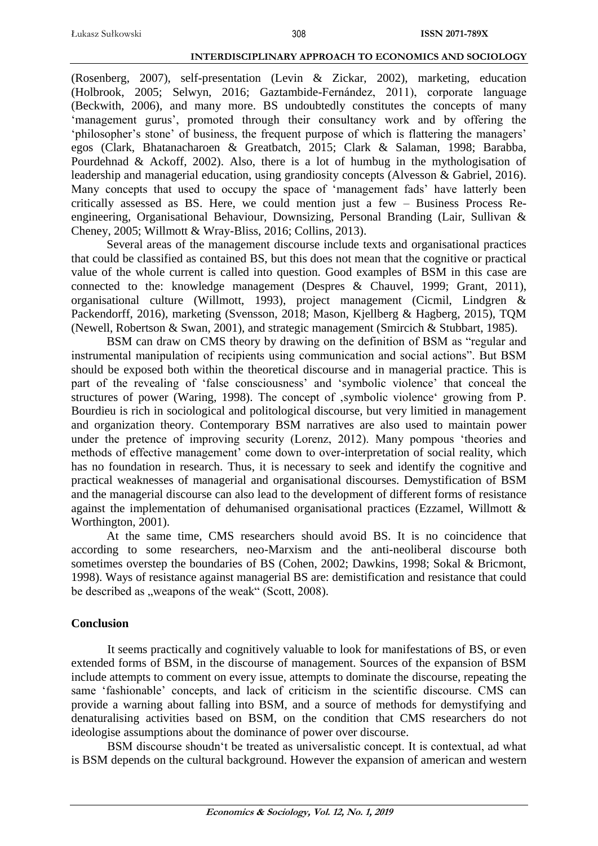(Rosenberg, 2007), self-presentation (Levin & Zickar, 2002), marketing, education (Holbrook, 2005; Selwyn, 2016; Gaztambide-Fernández, 2011), corporate language (Beckwith, 2006), and many more. BS undoubtedly constitutes the concepts of many 'management gurus', promoted through their consultancy work and by offering the 'philosopher's stone' of business, the frequent purpose of which is flattering the managers' egos (Clark, Bhatanacharoen & Greatbatch, 2015; Clark & Salaman, 1998; Barabba, Pourdehnad & Ackoff, 2002). Also, there is a lot of humbug in the mythologisation of leadership and managerial education, using grandiosity concepts (Alvesson & Gabriel, 2016). Many concepts that used to occupy the space of 'management fads' have latterly been critically assessed as BS. Here, we could mention just a few – Business Process Reengineering, Organisational Behaviour, Downsizing, Personal Branding (Lair, Sullivan & Cheney, 2005; Willmott & Wray-Bliss, 2016; Collins, 2013).

Several areas of the management discourse include texts and organisational practices that could be classified as contained BS, but this does not mean that the cognitive or practical value of the whole current is called into question. Good examples of BSM in this case are connected to the: knowledge management (Despres & Chauvel, 1999; Grant, 2011), organisational culture (Willmott, 1993), project management (Cicmil, Lindgren & Packendorff, 2016), marketing (Svensson, 2018; Mason, Kjellberg & Hagberg, 2015), TQM (Newell, Robertson & Swan, 2001), and strategic management (Smircich & Stubbart, 1985).

BSM can draw on CMS theory by drawing on the definition of BSM as "regular and instrumental manipulation of recipients using communication and social actions". But BSM should be exposed both within the theoretical discourse and in managerial practice. This is part of the revealing of 'false consciousness' and 'symbolic violence' that conceal the structures of power (Waring, 1998). The concept of , symbolic violence 'growing from P. Bourdieu is rich in sociological and politological discourse, but very limitied in management and organization theory. Contemporary BSM narratives are also used to maintain power under the pretence of improving security (Lorenz, 2012). Many pompous 'theories and methods of effective management' come down to over-interpretation of social reality, which has no foundation in research. Thus, it is necessary to seek and identify the cognitive and practical weaknesses of managerial and organisational discourses. Demystification of BSM and the managerial discourse can also lead to the development of different forms of resistance against the implementation of dehumanised organisational practices (Ezzamel, Willmott & Worthington, 2001).

At the same time, CMS researchers should avoid BS. It is no coincidence that according to some researchers, neo-Marxism and the anti-neoliberal discourse both sometimes overstep the boundaries of BS (Cohen, 2002; Dawkins, 1998; Sokal & Bricmont, 1998). Ways of resistance against managerial BS are: demistification and resistance that could be described as "weapons of the weak" (Scott, 2008).

## **Conclusion**

It seems practically and cognitively valuable to look for manifestations of BS, or even extended forms of BSM, in the discourse of management. Sources of the expansion of BSM include attempts to comment on every issue, attempts to dominate the discourse, repeating the same 'fashionable' concepts, and lack of criticism in the scientific discourse. CMS can provide a warning about falling into BSM, and a source of methods for demystifying and denaturalising activities based on BSM, on the condition that CMS researchers do not ideologise assumptions about the dominance of power over discourse.

BSM discourse shoudn't be treated as universalistic concept. It is contextual, ad what is BSM depends on the cultural background. However the expansion of american and western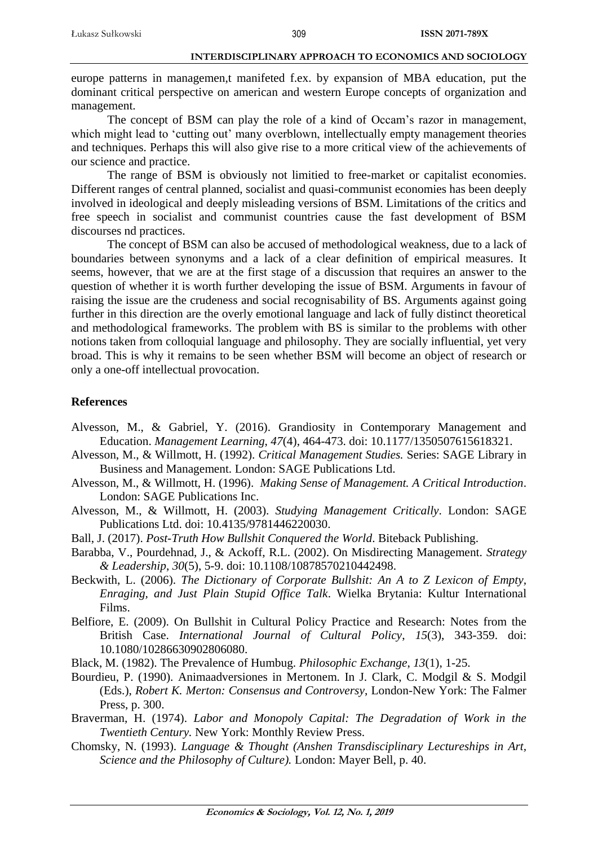europe patterns in managemen,t manifeted f.ex. by expansion of MBA education, put the dominant critical perspective on american and western Europe concepts of organization and management.

The concept of BSM can play the role of a kind of Occam's razor in management, which might lead to 'cutting out' many overblown, intellectually empty management theories and techniques. Perhaps this will also give rise to a more critical view of the achievements of our science and practice.

The range of BSM is obviously not limitied to free-market or capitalist economies. Different ranges of central planned, socialist and quasi-communist economies has been deeply involved in ideological and deeply misleading versions of BSM. Limitations of the critics and free speech in socialist and communist countries cause the fast development of BSM discourses nd practices.

The concept of BSM can also be accused of methodological weakness, due to a lack of boundaries between synonyms and a lack of a clear definition of empirical measures. It seems, however, that we are at the first stage of a discussion that requires an answer to the question of whether it is worth further developing the issue of BSM. Arguments in favour of raising the issue are the crudeness and social recognisability of BS. Arguments against going further in this direction are the overly emotional language and lack of fully distinct theoretical and methodological frameworks. The problem with BS is similar to the problems with other notions taken from colloquial language and philosophy. They are socially influential, yet very broad. This is why it remains to be seen whether BSM will become an object of research or only a one-off intellectual provocation.

# **References**

- Alvesson, M., & Gabriel, Y. (2016). Grandiosity in Contemporary Management and Education. *Management Learning*, *47*(4), 464-473. doi: 10.1177/1350507615618321.
- Alvesson, M., & Willmott, H. (1992). *Critical Management Studies.* Series: SAGE Library in Business and Management. London: SAGE Publications Ltd.
- Alvesson, M., & Willmott, H. (1996). *Making Sense of Management. A Critical Introduction*. London: SAGE Publications Inc.
- Alvesson, M., & Willmott, H. (2003). *Studying Management Critically*. London: SAGE Publications Ltd. doi: 10.4135/9781446220030.
- Ball, J. (2017). *Post-Truth How Bullshit Conquered the World*. Biteback Publishing.
- Barabba, V., Pourdehnad, J., & Ackoff, R.L. (2002). On Misdirecting Management. *Strategy & Leadership*, *30*(5), 5-9. doi: 10.1108/10878570210442498.
- Beckwith, L. (2006). *The Dictionary of Corporate Bullshit: An A to Z Lexicon of Empty, Enraging, and Just Plain Stupid Office Talk*. Wielka Brytania: Kultur International Films.
- Belfiore, E. (2009). On Bullshit in Cultural Policy Practice and Research: Notes from the British Case. *International Journal of Cultural Policy*, *15*(3), 343-359. doi: 10.1080/10286630902806080.
- Black, M. (1982). The Prevalence of Humbug. *Philosophic Exchange*, *13*(1), 1-25.
- Bourdieu, P. (1990). Animaadversiones in Mertonem. In J. Clark, C. Modgil & S. Modgil (Eds.), *Robert K. Merton: Consensus and Controversy*, London-New York: The Falmer Press, p. 300.
- Braverman, H. (1974). *Labor and Monopoly Capital: The Degradation of Work in the Twentieth Century.* New York: Monthly Review Press.
- Chomsky, N. (1993). *Language & Thought (Anshen Transdisciplinary Lectureships in Art, Science and the Philosophy of Culture).* London: Mayer Bell, p. 40.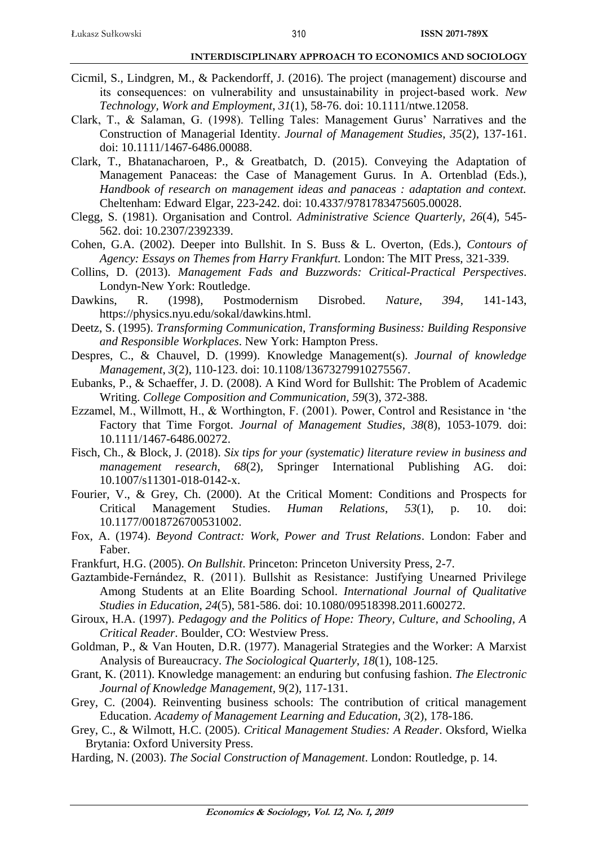- Cicmil, S., Lindgren, M., & Packendorff, J. (2016). The project (management) discourse and its consequences: on vulnerability and unsustainability in project‐based work. *New Technology, Work and Employment*, *31*(1), 58-76. doi: 10.1111/ntwe.12058.
- Clark, T., & Salaman, G. (1998). Telling Tales: Management Gurus' Narratives and the Construction of Managerial Identity. *Journal of Management Studies*, *35*(2), 137-161. doi: 10.1111/1467-6486.00088.
- Clark, T., Bhatanacharoen, P., & Greatbatch, D. (2015). Conveying the Adaptation of Management Panaceas: the Case of Management Gurus. In A. Ortenblad (Eds.), *Handbook of research on management ideas and panaceas : adaptation and context.* Cheltenham: Edward Elgar, 223-242. doi: 10.4337/9781783475605.00028.
- Clegg, S. (1981). Organisation and Control. *Administrative Science Quarterly, 26*(4), 545- 562. doi: 10.2307/2392339.
- Cohen, G.A. (2002). Deeper into Bullshit. In S. Buss & L. Overton, (Eds.), *Contours of Agency: Essays on Themes from Harry Frankfurt.* London: The MIT Press, 321-339.
- Collins, D. (2013). *Management Fads and Buzzwords: Critical-Practical Perspectives*. Londyn-New York: Routledge.
- Dawkins, R. (1998), Postmodernism Disrobed. *Nature*, *394*, 141-143, https://physics.nyu.edu/sokal/dawkins.html.
- Deetz, S. (1995). *Transforming Communication, Transforming Business: Building Responsive and Responsible Workplaces*. New York: Hampton Press.
- Despres, C., & Chauvel, D. (1999). Knowledge Management(s). *Journal of knowledge Management*, *3*(2), 110-123. doi: 10.1108/13673279910275567.
- Eubanks, P., & Schaeffer, J. D. (2008). A Kind Word for Bullshit: The Problem of Academic Writing. *College Composition and Communication, 59*(3), 372-388.
- Ezzamel, M., Willmott, H., & Worthington, F. (2001). Power, Control and Resistance in 'the Factory that Time Forgot. *Journal of Management Studies*, *38*(8), 1053-1079. doi: 10.1111/1467-6486.00272.
- Fisch, Ch., & Block, J. (2018). *Six tips for your (systematic) literature review in business and management research*, *68*(2)*,* Springer International Publishing AG*.* doi: 10.1007/s11301-018-0142-x.
- Fourier, V., & Grey, Ch. (2000). At the Critical Moment: Conditions and Prospects for Critical Management Studies. *Human Relations*, *53*(1), p. 10. doi: 10.1177/0018726700531002.
- Fox, A. (1974). *Beyond Contract: Work, Power and Trust Relations*. London: Faber and Faber.
- Frankfurt, H.G. (2005). *On Bullshit*. Princeton: Princeton University Press, 2-7.
- Gaztambide-Fernández, R. (2011). Bullshit as Resistance: Justifying Unearned Privilege Among Students at an Elite Boarding School. *International Journal of Qualitative Studies in Education*, *24*(5), 581-586. doi: 10.1080/09518398.2011.600272.
- Giroux, H.A. (1997). *Pedagogy and the Politics of Hope: Theory, Culture, and Schooling, A Critical Reader*. Boulder, CO: Westview Press.
- Goldman, P., & Van Houten, D.R. (1977). Managerial Strategies and the Worker: A Marxist Analysis of Bureaucracy. *The Sociological Quarterly*, *18*(1), 108-125.
- Grant, K. (2011). Knowledge management: an enduring but confusing fashion. *The Electronic Journal of Knowledge Management,* 9(2), 117-131.
- Grey, C. (2004). Reinventing business schools: The contribution of critical management Education. *Academy of Management Learning and Education*, *3*(2), 178-186.
- Grey, C., & Wilmott, H.C. (2005). *Critical Management Studies: A Reader*. Oksford, Wielka Brytania: Oxford University Press.
- Harding, N. (2003). *The Social Construction of Management*. London: Routledge, p. 14.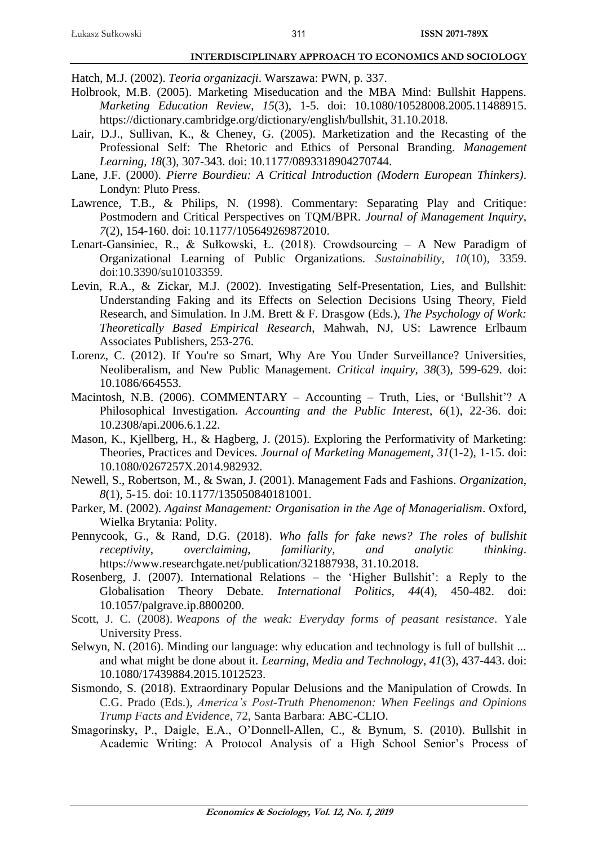Hatch, M.J. (2002). *Teoria organizacji*. Warszawa: PWN, p. 337.

- Holbrook, M.B. (2005). Marketing Miseducation and the MBA Mind: Bullshit Happens. *Marketing Education Review*, *15*(3), 1-5. doi: 10.1080/10528008.2005.11488915. https://dictionary.cambridge.org/dictionary/english/bullshit, 31.10.2018.
- Lair, D.J., Sullivan, K., & Cheney, G. (2005). Marketization and the Recasting of the Professional Self: The Rhetoric and Ethics of Personal Branding. *Management Learning*, *18*(3), 307-343. doi: 10.1177/0893318904270744.
- Lane, J.F. (2000). *Pierre Bourdieu: A Critical Introduction (Modern European Thinkers)*. Londyn: Pluto Press.
- Lawrence, T.B., & Philips, N. (1998). Commentary: Separating Play and Critique: Postmodern and Critical Perspectives on TQM/BPR. *Journal of Management Inquiry*, *7*(2), 154-160. doi: 10.1177/105649269872010.
- Lenart-Gansiniec, R., & Sułkowski, Ł. (2018). Crowdsourcing A New Paradigm of Organizational Learning of Public Organizations. *Sustainability*, *10*(10), 3359. doi:10.3390/su10103359.
- Levin, R.A., & Zickar, M.J. (2002). Investigating Self-Presentation, Lies, and Bullshit: Understanding Faking and its Effects on Selection Decisions Using Theory, Field Research, and Simulation. In J.M. Brett & F. Drasgow (Eds.), *The Psychology of Work: Theoretically Based Empirical Research*, Mahwah, NJ, US: Lawrence Erlbaum Associates Publishers, 253-276.
- Lorenz, C. (2012). If You're so Smart, Why Are You Under Surveillance? Universities, Neoliberalism, and New Public Management. *Critical inquiry*, *38*(3), 599-629. doi: 10.1086/664553.
- Macintosh, N.B. (2006). COMMENTARY Accounting Truth, Lies, or 'Bullshit'? A Philosophical Investigation. *Accounting and the Public Interest*, *6*(1), 22-36. doi: 10.2308/api.2006.6.1.22.
- Mason, K., Kjellberg, H., & Hagberg, J. (2015). Exploring the Performativity of Marketing: Theories, Practices and Devices. *Journal of Marketing Management, 31*(1-2), 1-15. doi: 10.1080/0267257X.2014.982932.
- Newell, S., Robertson, M., & Swan, J. (2001). Management Fads and Fashions. *Organization*, *8*(1), 5-15. doi: 10.1177/135050840181001.
- Parker, M. (2002). *Against Management: Organisation in the Age of Managerialism*. Oxford, Wielka Brytania: Polity.
- Pennycook, G., & Rand, D.G. (2018). *Who falls for fake news? The roles of bullshit receptivity, overclaiming, familiarity, and analytic thinking*. https://www.researchgate.net/publication/321887938, 31.10.2018.
- Rosenberg, J. (2007). International Relations the 'Higher Bullshit': a Reply to the Globalisation Theory Debate. *International Politics*, *44*(4), 450-482. doi: 10.1057/palgrave.ip.8800200.
- Scott, J. C. (2008). *Weapons of the weak: Everyday forms of peasant resistance*. Yale University Press.
- Selwyn, N. (2016). Minding our language: why education and technology is full of bullshit ... and what might be done about it. *Learning, Media and Technology*, *41*(3), 437-443. doi: 10.1080/17439884.2015.1012523.
- Sismondo, S. (2018). Extraordinary Popular Delusions and the Manipulation of Crowds. In C.G. Prado (Eds.), *America's Post-Truth Phenomenon: When Feelings and Opinions Trump Facts and Evidence*, 72, Santa Barbara: ABC-CLIO.
- Smagorinsky, P., Daigle, E.A., O'Donnell-Allen, C., & Bynum, S. (2010). Bullshit in Academic Writing: A Protocol Analysis of a High School Senior's Process of